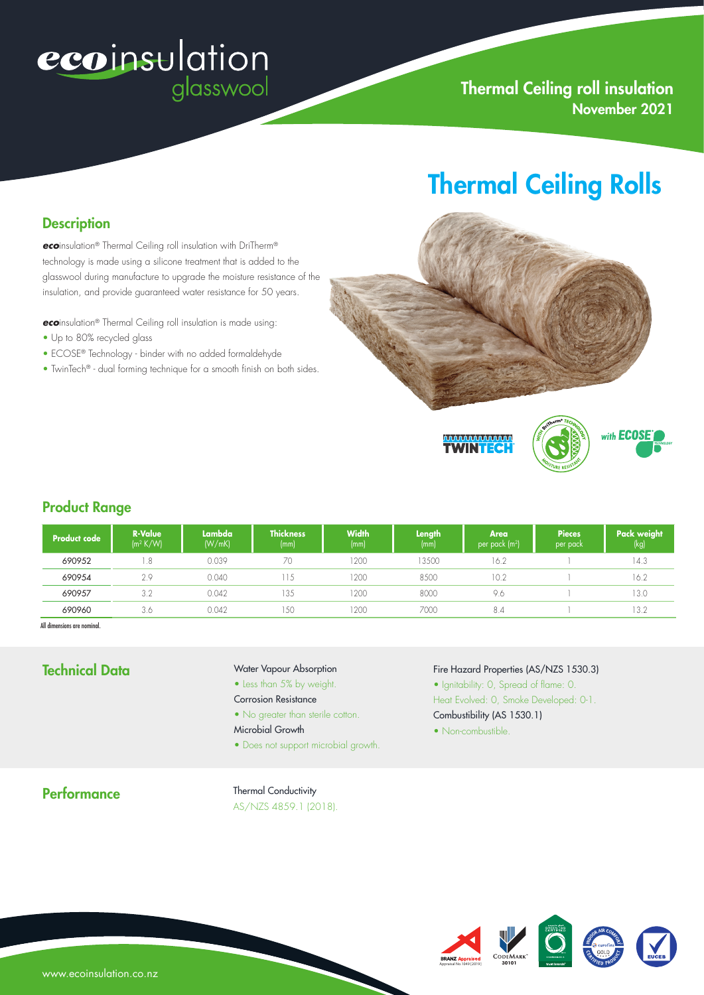# ecoinsulation glasswool

# Thermal Ceiling roll insulation November 2021

# Thermal Ceiling Rolls

### **Description**

*eco*insulation® Thermal Ceiling roll insulation with DriTherm® technology is made using a silicone treatment that is added to the glasswool during manufacture to upgrade the moisture resistance of the insulation, and provide guaranteed water resistance for 50 years.

*eco*insulation® Thermal Ceiling roll insulation is made using:

- Up to 80% recycled glass
- ECOSE® Technology binder with no added formaldehyde
- TwinTech® dual forming technique for a smooth finish on both sides.



### Product Range

| Product code | <b>R-Value</b><br>$\left(\frac{m^2 K}{W}\right)$ | <b>Lambda</b><br>(W/mK) | <b>Thickness</b><br>(mm) | <b>Width</b><br>(mm) | Length<br>(mm) | Area<br>per pack $(m^2)$ | <b>Pieces</b><br>per pack | Pack weight<br>(kg) |
|--------------|--------------------------------------------------|-------------------------|--------------------------|----------------------|----------------|--------------------------|---------------------------|---------------------|
| 690952       | .8                                               | 0.039                   | 70                       | 1200                 | 3500           | 16.2                     |                           | 14.3                |
| 690954       | 2.9                                              | 0.040                   | 115                      | 1200                 | 8500           | 10.2                     |                           | 16.2                |
| 690957       | 3.2                                              | 0.042                   | 135                      | 1200                 | 8000           | 9.6                      |                           | 13.0                |
| 690960       | 3.6                                              | 0.042                   | 150                      | 1200                 | 7000           | 8.4                      |                           | 13.2                |

All dimensions are nominal.

# Technical Data

#### Water Vapour Absorption

- Less than 5% by weight.
- Corrosion Resistance
- No greater than sterile cotton.
- Microbial Growth
- Does not support microbial growth.

### Fire Hazard Properties (AS/NZS 1530.3)

- Ignitability: 0, Spread of flame: 0.
- Heat Evolved: 0, Smoke Developed: 0-1.
- Combustibility (AS 1530.1)
- Non-combustible.

#### **Performance**

#### Thermal Conductivity AS/NZS 4859.1 (2018).